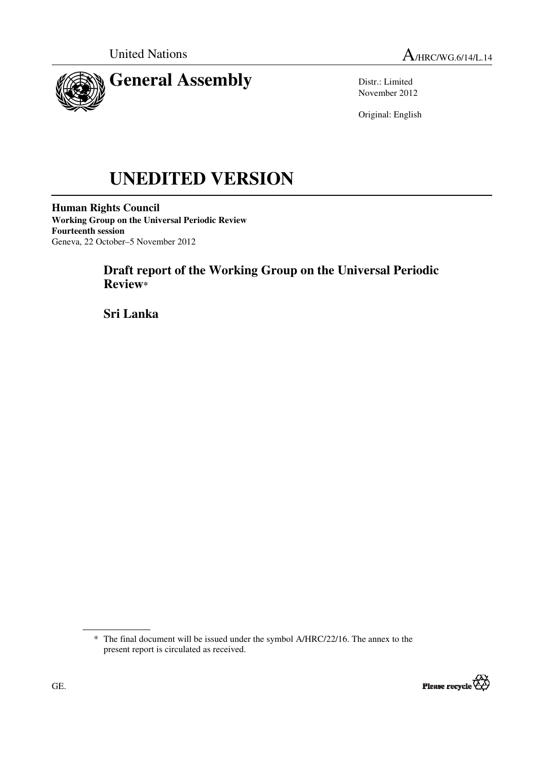



Distr.: Limited November 2012

Original: English

# **UNEDITED VERSION**

**Human Rights Council Working Group on the Universal Periodic Review Fourteenth session**  Geneva, 22 October–5 November 2012

# **Draft report of the Working Group on the Universal Periodic Review\***

 **Sri Lanka** 

<sup>\*</sup> The final document will be issued under the symbol A/HRC/22/16. The annex to the present report is circulated as received.

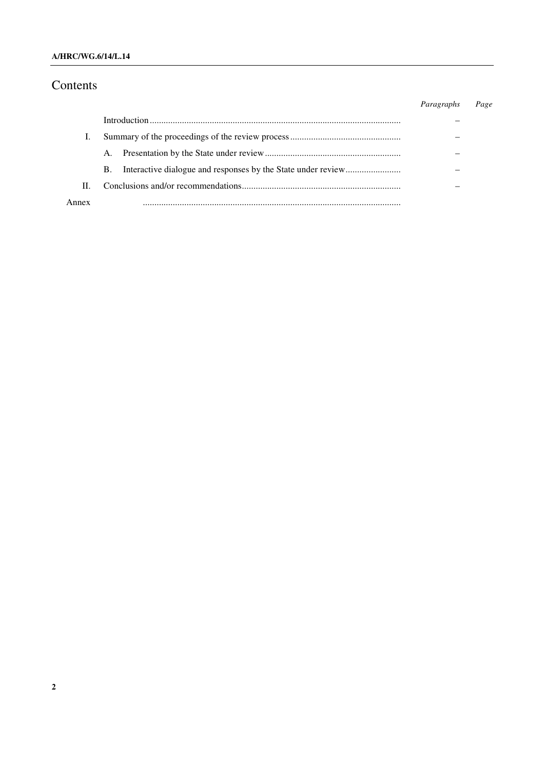### **A/HRC/WG.6/14/L.14**

# Contents

|      |    | Paragraphs | Page |
|------|----|------------|------|
|      |    |            |      |
|      |    |            |      |
|      | A. |            |      |
|      | B. |            |      |
| П.   |    |            |      |
| nnev |    |            |      |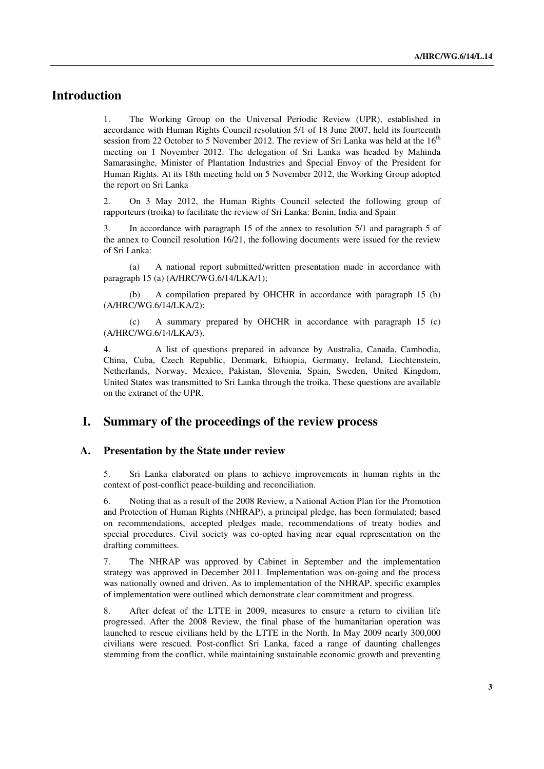# **Introduction**

1. The Working Group on the Universal Periodic Review (UPR), established in accordance with Human Rights Council resolution 5/1 of 18 June 2007, held its fourteenth session from 22 October to 5 November 2012. The review of Sri Lanka was held at the  $16<sup>th</sup>$ meeting on 1 November 2012. The delegation of Sri Lanka was headed by Mahinda Samarasinghe, Minister of Plantation Industries and Special Envoy of the President for Human Rights. At its 18th meeting held on 5 November 2012, the Working Group adopted the report on Sri Lanka

2. On 3 May 2012, the Human Rights Council selected the following group of rapporteurs (troika) to facilitate the review of Sri Lanka: Benin, India and Spain

3. In accordance with paragraph 15 of the annex to resolution 5/1 and paragraph 5 of the annex to Council resolution 16/21, the following documents were issued for the review of Sri Lanka:

 (a) A national report submitted/written presentation made in accordance with paragraph 15 (a) (A/HRC/WG.6/14/LKA/1);

 (b) A compilation prepared by OHCHR in accordance with paragraph 15 (b) (A/HRC/WG.6/14/LKA/2);

 (c) A summary prepared by OHCHR in accordance with paragraph 15 (c) (A/HRC/WG.6/14/LKA/3).

4. A list of questions prepared in advance by Australia, Canada, Cambodia, China, Cuba, Czech Republic, Denmark, Ethiopia, Germany, Ireland, Liechtenstein, Netherlands, Norway, Mexico, Pakistan, Slovenia, Spain, Sweden, United Kingdom, United States was transmitted to Sri Lanka through the troika. These questions are available on the extranet of the UPR.

## **I. Summary of the proceedings of the review process**

#### **A. Presentation by the State under review**

5. Sri Lanka elaborated on plans to achieve improvements in human rights in the context of post-conflict peace-building and reconciliation.

6. Noting that as a result of the 2008 Review, a National Action Plan for the Promotion and Protection of Human Rights (NHRAP), a principal pledge, has been formulated; based on recommendations, accepted pledges made, recommendations of treaty bodies and special procedures. Civil society was co-opted having near equal representation on the drafting committees.

7. The NHRAP was approved by Cabinet in September and the implementation strategy was approved in December 2011. Implementation was on-going and the process was nationally owned and driven. As to implementation of the NHRAP, specific examples of implementation were outlined which demonstrate clear commitment and progress.

8. After defeat of the LTTE in 2009, measures to ensure a return to civilian life progressed. After the 2008 Review, the final phase of the humanitarian operation was launched to rescue civilians held by the LTTE in the North. In May 2009 nearly 300,000 civilians were rescued. Post-conflict Sri Lanka, faced a range of daunting challenges stemming from the conflict, while maintaining sustainable economic growth and preventing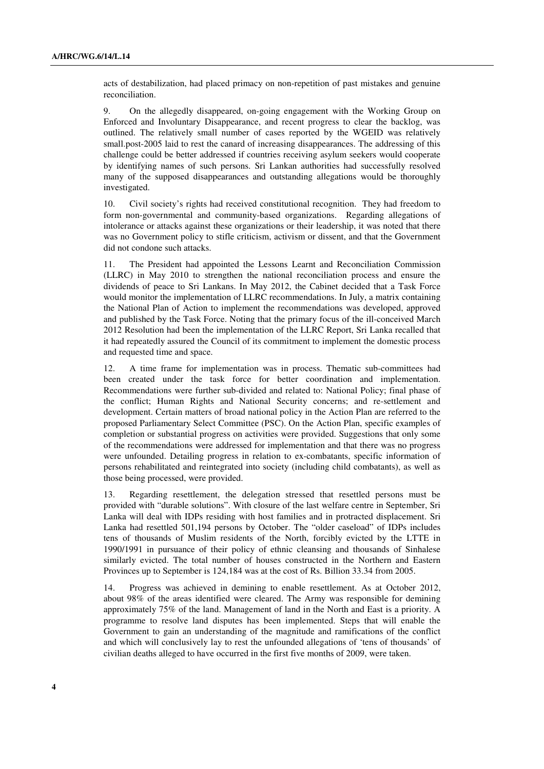acts of destabilization, had placed primacy on non-repetition of past mistakes and genuine reconciliation.

9. On the allegedly disappeared, on-going engagement with the Working Group on Enforced and Involuntary Disappearance, and recent progress to clear the backlog, was outlined. The relatively small number of cases reported by the WGEID was relatively small.post-2005 laid to rest the canard of increasing disappearances. The addressing of this challenge could be better addressed if countries receiving asylum seekers would cooperate by identifying names of such persons. Sri Lankan authorities had successfully resolved many of the supposed disappearances and outstanding allegations would be thoroughly investigated.

10. Civil society's rights had received constitutional recognition. They had freedom to form non-governmental and community-based organizations. Regarding allegations of intolerance or attacks against these organizations or their leadership, it was noted that there was no Government policy to stifle criticism, activism or dissent, and that the Government did not condone such attacks.

11. The President had appointed the Lessons Learnt and Reconciliation Commission (LLRC) in May 2010 to strengthen the national reconciliation process and ensure the dividends of peace to Sri Lankans. In May 2012, the Cabinet decided that a Task Force would monitor the implementation of LLRC recommendations. In July, a matrix containing the National Plan of Action to implement the recommendations was developed, approved and published by the Task Force. Noting that the primary focus of the ill-conceived March 2012 Resolution had been the implementation of the LLRC Report, Sri Lanka recalled that it had repeatedly assured the Council of its commitment to implement the domestic process and requested time and space.

12. A time frame for implementation was in process. Thematic sub-committees had been created under the task force for better coordination and implementation. Recommendations were further sub-divided and related to: National Policy; final phase of the conflict; Human Rights and National Security concerns; and re-settlement and development. Certain matters of broad national policy in the Action Plan are referred to the proposed Parliamentary Select Committee (PSC). On the Action Plan, specific examples of completion or substantial progress on activities were provided. Suggestions that only some of the recommendations were addressed for implementation and that there was no progress were unfounded. Detailing progress in relation to ex-combatants, specific information of persons rehabilitated and reintegrated into society (including child combatants), as well as those being processed, were provided.

13. Regarding resettlement, the delegation stressed that resettled persons must be provided with "durable solutions". With closure of the last welfare centre in September, Sri Lanka will deal with IDPs residing with host families and in protracted displacement. Sri Lanka had resettled 501,194 persons by October. The "older caseload" of IDPs includes tens of thousands of Muslim residents of the North, forcibly evicted by the LTTE in 1990/1991 in pursuance of their policy of ethnic cleansing and thousands of Sinhalese similarly evicted. The total number of houses constructed in the Northern and Eastern Provinces up to September is 124,184 was at the cost of Rs. Billion 33.34 from 2005.

14. Progress was achieved in demining to enable resettlement. As at October 2012, about 98% of the areas identified were cleared. The Army was responsible for demining approximately 75% of the land. Management of land in the North and East is a priority. A programme to resolve land disputes has been implemented. Steps that will enable the Government to gain an understanding of the magnitude and ramifications of the conflict and which will conclusively lay to rest the unfounded allegations of 'tens of thousands' of civilian deaths alleged to have occurred in the first five months of 2009, were taken.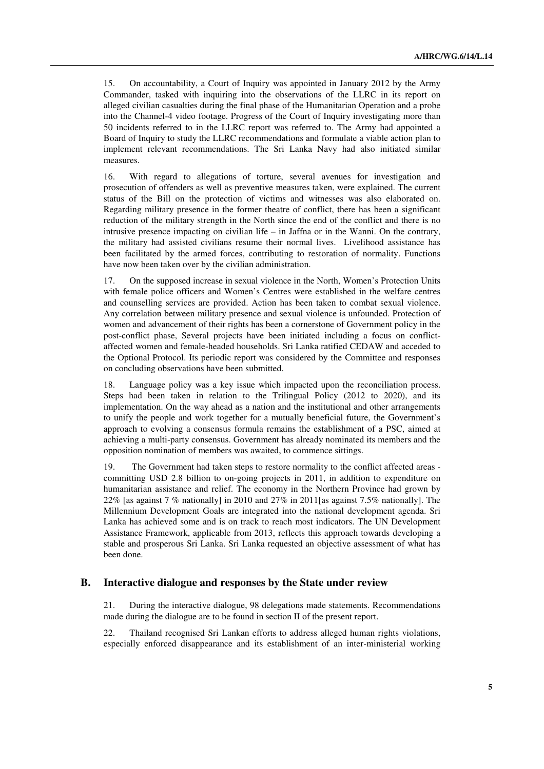15. On accountability, a Court of Inquiry was appointed in January 2012 by the Army Commander, tasked with inquiring into the observations of the LLRC in its report on alleged civilian casualties during the final phase of the Humanitarian Operation and a probe into the Channel-4 video footage. Progress of the Court of Inquiry investigating more than 50 incidents referred to in the LLRC report was referred to. The Army had appointed a Board of Inquiry to study the LLRC recommendations and formulate a viable action plan to implement relevant recommendations. The Sri Lanka Navy had also initiated similar measures.

16. With regard to allegations of torture, several avenues for investigation and prosecution of offenders as well as preventive measures taken, were explained. The current status of the Bill on the protection of victims and witnesses was also elaborated on. Regarding military presence in the former theatre of conflict, there has been a significant reduction of the military strength in the North since the end of the conflict and there is no intrusive presence impacting on civilian life – in Jaffna or in the Wanni. On the contrary, the military had assisted civilians resume their normal lives. Livelihood assistance has been facilitated by the armed forces, contributing to restoration of normality. Functions have now been taken over by the civilian administration.

17. On the supposed increase in sexual violence in the North, Women's Protection Units with female police officers and Women's Centres were established in the welfare centres and counselling services are provided. Action has been taken to combat sexual violence. Any correlation between military presence and sexual violence is unfounded. Protection of women and advancement of their rights has been a cornerstone of Government policy in the post-conflict phase, Several projects have been initiated including a focus on conflictaffected women and female-headed households. Sri Lanka ratified CEDAW and acceded to the Optional Protocol. Its periodic report was considered by the Committee and responses on concluding observations have been submitted.

18. Language policy was a key issue which impacted upon the reconciliation process. Steps had been taken in relation to the Trilingual Policy (2012 to 2020), and its implementation. On the way ahead as a nation and the institutional and other arrangements to unify the people and work together for a mutually beneficial future, the Government's approach to evolving a consensus formula remains the establishment of a PSC, aimed at achieving a multi-party consensus. Government has already nominated its members and the opposition nomination of members was awaited, to commence sittings.

19. The Government had taken steps to restore normality to the conflict affected areas committing USD 2.8 billion to on-going projects in 2011, in addition to expenditure on humanitarian assistance and relief. The economy in the Northern Province had grown by 22% [as against 7 % nationally] in 2010 and 27% in 2011[as against 7.5% nationally]. The Millennium Development Goals are integrated into the national development agenda. Sri Lanka has achieved some and is on track to reach most indicators. The UN Development Assistance Framework, applicable from 2013, reflects this approach towards developing a stable and prosperous Sri Lanka. Sri Lanka requested an objective assessment of what has been done.

#### **B. Interactive dialogue and responses by the State under review**

21. During the interactive dialogue, 98 delegations made statements. Recommendations made during the dialogue are to be found in section II of the present report.

22. Thailand recognised Sri Lankan efforts to address alleged human rights violations, especially enforced disappearance and its establishment of an inter-ministerial working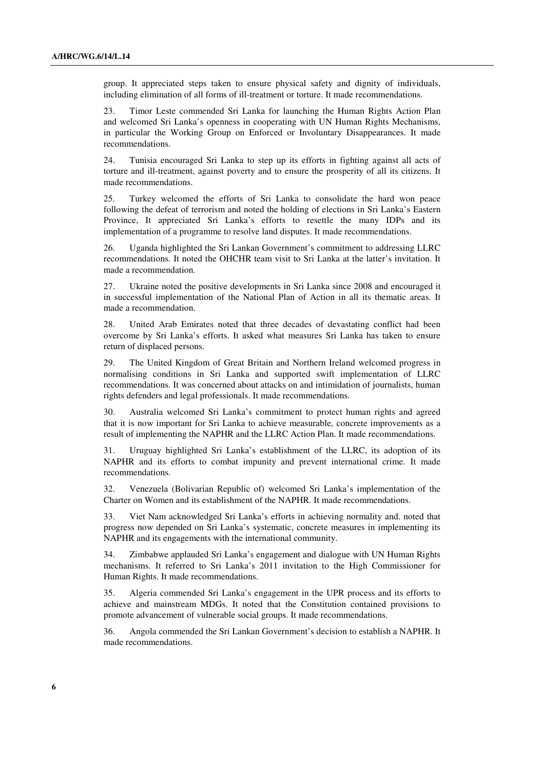group. It appreciated steps taken to ensure physical safety and dignity of individuals, including elimination of all forms of ill-treatment or torture. It made recommendations.

23. Timor Leste commended Sri Lanka for launching the Human Rights Action Plan and welcomed Sri Lanka's openness in cooperating with UN Human Rights Mechanisms, in particular the Working Group on Enforced or Involuntary Disappearances. It made recommendations.

24. Tunisia encouraged Sri Lanka to step up its efforts in fighting against all acts of torture and ill-treatment, against poverty and to ensure the prosperity of all its citizens. It made recommendations.

25. Turkey welcomed the efforts of Sri Lanka to consolidate the hard won peace following the defeat of terrorism and noted the holding of elections in Sri Lanka's Eastern Province, It appreciated Sri Lanka's efforts to resettle the many IDPs and its implementation of a programme to resolve land disputes. It made recommendations.

26. Uganda highlighted the Sri Lankan Government's commitment to addressing LLRC recommendations. It noted the OHCHR team visit to Sri Lanka at the latter's invitation. It made a recommendation.

27. Ukraine noted the positive developments in Sri Lanka since 2008 and encouraged it in successful implementation of the National Plan of Action in all its thematic areas. It made a recommendation.

28. United Arab Emirates noted that three decades of devastating conflict had been overcome by Sri Lanka's efforts. It asked what measures Sri Lanka has taken to ensure return of displaced persons.

29. The United Kingdom of Great Britain and Northern Ireland welcomed progress in normalising conditions in Sri Lanka and supported swift implementation of LLRC recommendations. It was concerned about attacks on and intimidation of journalists, human rights defenders and legal professionals. It made recommendations.

30. Australia welcomed Sri Lanka's commitment to protect human rights and agreed that it is now important for Sri Lanka to achieve measurable, concrete improvements as a result of implementing the NAPHR and the LLRC Action Plan. It made recommendations.

31. Uruguay highlighted Sri Lanka's establishment of the LLRC, its adoption of its NAPHR and its efforts to combat impunity and prevent international crime. It made recommendations.

32. Venezuela (Bolivarian Republic of) welcomed Sri Lanka's implementation of the Charter on Women and its establishment of the NAPHR. It made recommendations.

33. Viet Nam acknowledged Sri Lanka's efforts in achieving normality and. noted that progress now depended on Sri Lanka's systematic, concrete measures in implementing its NAPHR and its engagements with the international community.

34. Zimbabwe applauded Sri Lanka's engagement and dialogue with UN Human Rights mechanisms. It referred to Sri Lanka's 2011 invitation to the High Commissioner for Human Rights. It made recommendations.

35. Algeria commended Sri Lanka's engagement in the UPR process and its efforts to achieve and mainstream MDGs. It noted that the Constitution contained provisions to promote advancement of vulnerable social groups. It made recommendations.

36. Angola commended the Sri Lankan Government's decision to establish a NAPHR. It made recommendations.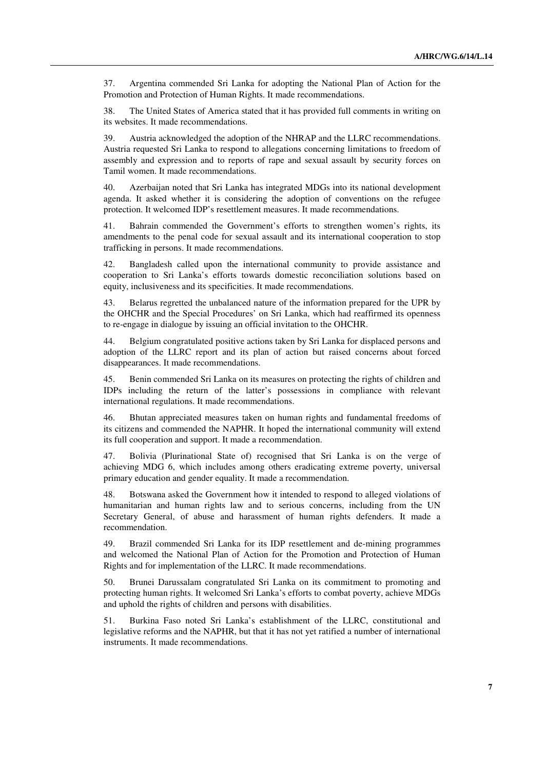37. Argentina commended Sri Lanka for adopting the National Plan of Action for the Promotion and Protection of Human Rights. It made recommendations.

38. The United States of America stated that it has provided full comments in writing on its websites. It made recommendations.

39. Austria acknowledged the adoption of the NHRAP and the LLRC recommendations. Austria requested Sri Lanka to respond to allegations concerning limitations to freedom of assembly and expression and to reports of rape and sexual assault by security forces on Tamil women. It made recommendations.

40. Azerbaijan noted that Sri Lanka has integrated MDGs into its national development agenda. It asked whether it is considering the adoption of conventions on the refugee protection. It welcomed IDP's resettlement measures. It made recommendations.

41. Bahrain commended the Government's efforts to strengthen women's rights, its amendments to the penal code for sexual assault and its international cooperation to stop trafficking in persons. It made recommendations.

42. Bangladesh called upon the international community to provide assistance and cooperation to Sri Lanka's efforts towards domestic reconciliation solutions based on equity, inclusiveness and its specificities. It made recommendations.

43. Belarus regretted the unbalanced nature of the information prepared for the UPR by the OHCHR and the Special Procedures' on Sri Lanka, which had reaffirmed its openness to re-engage in dialogue by issuing an official invitation to the OHCHR.

44. Belgium congratulated positive actions taken by Sri Lanka for displaced persons and adoption of the LLRC report and its plan of action but raised concerns about forced disappearances. It made recommendations.

45. Benin commended Sri Lanka on its measures on protecting the rights of children and IDPs including the return of the latter's possessions in compliance with relevant international regulations. It made recommendations.

46. Bhutan appreciated measures taken on human rights and fundamental freedoms of its citizens and commended the NAPHR. It hoped the international community will extend its full cooperation and support. It made a recommendation.

47. Bolivia (Plurinational State of) recognised that Sri Lanka is on the verge of achieving MDG 6, which includes among others eradicating extreme poverty, universal primary education and gender equality. It made a recommendation.

48. Botswana asked the Government how it intended to respond to alleged violations of humanitarian and human rights law and to serious concerns, including from the UN Secretary General, of abuse and harassment of human rights defenders. It made a recommendation.

49. Brazil commended Sri Lanka for its IDP resettlement and de-mining programmes and welcomed the National Plan of Action for the Promotion and Protection of Human Rights and for implementation of the LLRC. It made recommendations.

50. Brunei Darussalam congratulated Sri Lanka on its commitment to promoting and protecting human rights. It welcomed Sri Lanka's efforts to combat poverty, achieve MDGs and uphold the rights of children and persons with disabilities.

51. Burkina Faso noted Sri Lanka's establishment of the LLRC, constitutional and legislative reforms and the NAPHR, but that it has not yet ratified a number of international instruments. It made recommendations.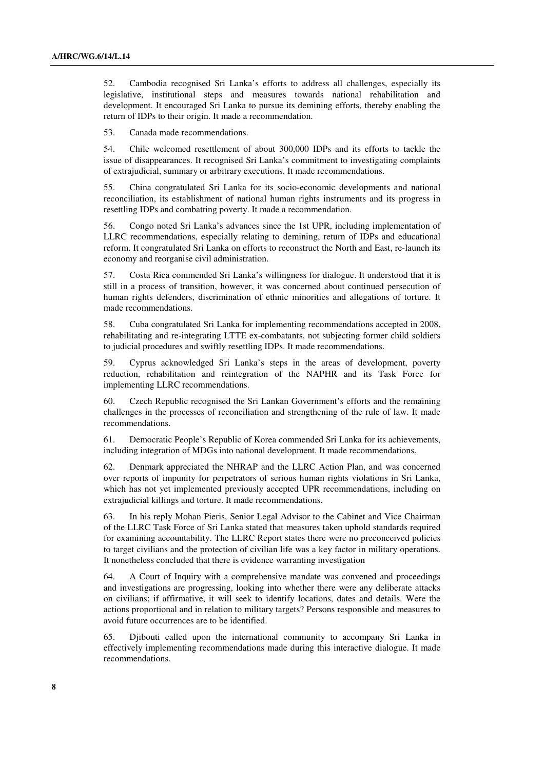52. Cambodia recognised Sri Lanka's efforts to address all challenges, especially its legislative, institutional steps and measures towards national rehabilitation and development. It encouraged Sri Lanka to pursue its demining efforts, thereby enabling the return of IDPs to their origin. It made a recommendation.

53. Canada made recommendations.

54. Chile welcomed resettlement of about 300,000 IDPs and its efforts to tackle the issue of disappearances. It recognised Sri Lanka's commitment to investigating complaints of extrajudicial, summary or arbitrary executions. It made recommendations.

55. China congratulated Sri Lanka for its socio-economic developments and national reconciliation, its establishment of national human rights instruments and its progress in resettling IDPs and combatting poverty. It made a recommendation.

56. Congo noted Sri Lanka's advances since the 1st UPR, including implementation of LLRC recommendations, especially relating to demining, return of IDPs and educational reform. It congratulated Sri Lanka on efforts to reconstruct the North and East, re-launch its economy and reorganise civil administration.

57. Costa Rica commended Sri Lanka's willingness for dialogue. It understood that it is still in a process of transition, however, it was concerned about continued persecution of human rights defenders, discrimination of ethnic minorities and allegations of torture. It made recommendations.

58. Cuba congratulated Sri Lanka for implementing recommendations accepted in 2008, rehabilitating and re-integrating LTTE ex-combatants, not subjecting former child soldiers to judicial procedures and swiftly resettling IDPs. It made recommendations.

59. Cyprus acknowledged Sri Lanka's steps in the areas of development, poverty reduction, rehabilitation and reintegration of the NAPHR and its Task Force for implementing LLRC recommendations.

60. Czech Republic recognised the Sri Lankan Government's efforts and the remaining challenges in the processes of reconciliation and strengthening of the rule of law. It made recommendations.

61. Democratic People's Republic of Korea commended Sri Lanka for its achievements, including integration of MDGs into national development. It made recommendations.

62. Denmark appreciated the NHRAP and the LLRC Action Plan, and was concerned over reports of impunity for perpetrators of serious human rights violations in Sri Lanka, which has not yet implemented previously accepted UPR recommendations, including on extrajudicial killings and torture. It made recommendations.

63. In his reply Mohan Pieris, Senior Legal Advisor to the Cabinet and Vice Chairman of the LLRC Task Force of Sri Lanka stated that measures taken uphold standards required for examining accountability. The LLRC Report states there were no preconceived policies to target civilians and the protection of civilian life was a key factor in military operations. It nonetheless concluded that there is evidence warranting investigation

64. A Court of Inquiry with a comprehensive mandate was convened and proceedings and investigations are progressing, looking into whether there were any deliberate attacks on civilians; if affirmative, it will seek to identify locations, dates and details. Were the actions proportional and in relation to military targets? Persons responsible and measures to avoid future occurrences are to be identified.

65. Djibouti called upon the international community to accompany Sri Lanka in effectively implementing recommendations made during this interactive dialogue. It made recommendations.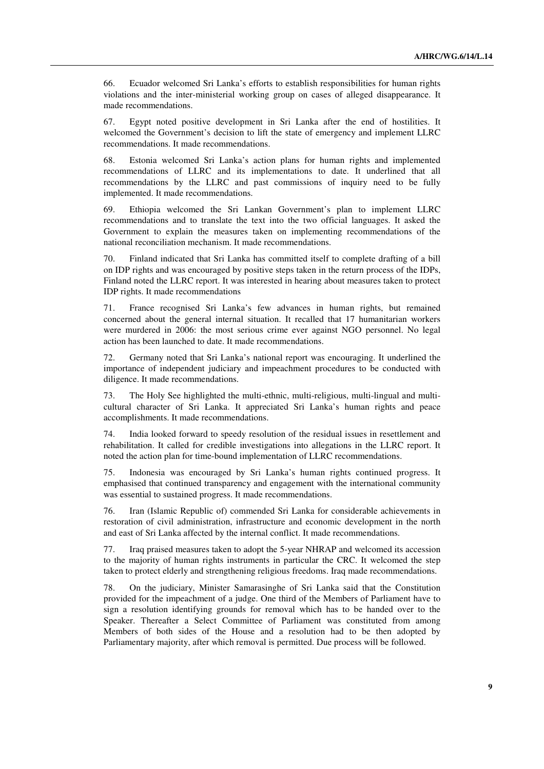66. Ecuador welcomed Sri Lanka's efforts to establish responsibilities for human rights violations and the inter-ministerial working group on cases of alleged disappearance. It made recommendations.

67. Egypt noted positive development in Sri Lanka after the end of hostilities. It welcomed the Government's decision to lift the state of emergency and implement LLRC recommendations. It made recommendations.

68. Estonia welcomed Sri Lanka's action plans for human rights and implemented recommendations of LLRC and its implementations to date. It underlined that all recommendations by the LLRC and past commissions of inquiry need to be fully implemented. It made recommendations.

69. Ethiopia welcomed the Sri Lankan Government's plan to implement LLRC recommendations and to translate the text into the two official languages. It asked the Government to explain the measures taken on implementing recommendations of the national reconciliation mechanism. It made recommendations.

70. Finland indicated that Sri Lanka has committed itself to complete drafting of a bill on IDP rights and was encouraged by positive steps taken in the return process of the IDPs, Finland noted the LLRC report. It was interested in hearing about measures taken to protect IDP rights. It made recommendations

71. France recognised Sri Lanka's few advances in human rights, but remained concerned about the general internal situation. It recalled that 17 humanitarian workers were murdered in 2006: the most serious crime ever against NGO personnel. No legal action has been launched to date. It made recommendations.

72. Germany noted that Sri Lanka's national report was encouraging. It underlined the importance of independent judiciary and impeachment procedures to be conducted with diligence. It made recommendations.

73. The Holy See highlighted the multi-ethnic, multi-religious, multi-lingual and multicultural character of Sri Lanka. It appreciated Sri Lanka's human rights and peace accomplishments. It made recommendations.

74. India looked forward to speedy resolution of the residual issues in resettlement and rehabilitation. It called for credible investigations into allegations in the LLRC report. It noted the action plan for time-bound implementation of LLRC recommendations.

75. Indonesia was encouraged by Sri Lanka's human rights continued progress. It emphasised that continued transparency and engagement with the international community was essential to sustained progress. It made recommendations.

76. Iran (Islamic Republic of) commended Sri Lanka for considerable achievements in restoration of civil administration, infrastructure and economic development in the north and east of Sri Lanka affected by the internal conflict. It made recommendations.

77. Iraq praised measures taken to adopt the 5-year NHRAP and welcomed its accession to the majority of human rights instruments in particular the CRC. It welcomed the step taken to protect elderly and strengthening religious freedoms. Iraq made recommendations.

78. On the judiciary, Minister Samarasinghe of Sri Lanka said that the Constitution provided for the impeachment of a judge. One third of the Members of Parliament have to sign a resolution identifying grounds for removal which has to be handed over to the Speaker. Thereafter a Select Committee of Parliament was constituted from among Members of both sides of the House and a resolution had to be then adopted by Parliamentary majority, after which removal is permitted. Due process will be followed.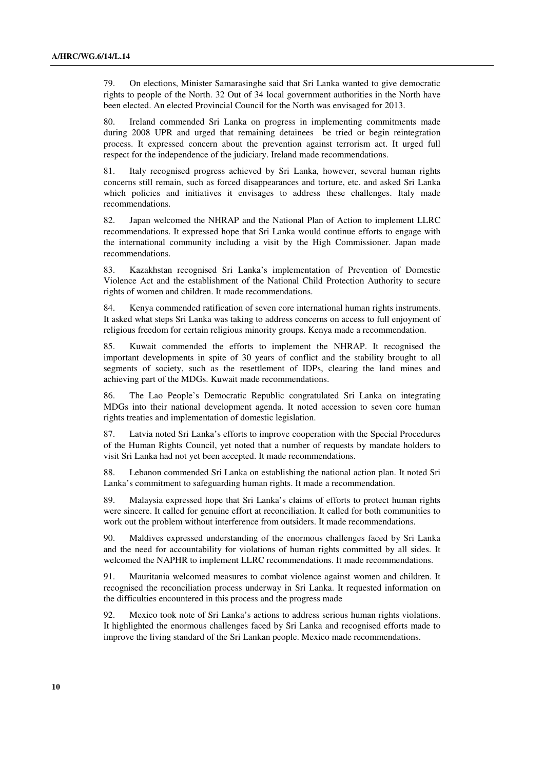79. On elections, Minister Samarasinghe said that Sri Lanka wanted to give democratic rights to people of the North. 32 Out of 34 local government authorities in the North have been elected. An elected Provincial Council for the North was envisaged for 2013.

80. Ireland commended Sri Lanka on progress in implementing commitments made during 2008 UPR and urged that remaining detainees be tried or begin reintegration process. It expressed concern about the prevention against terrorism act. It urged full respect for the independence of the judiciary. Ireland made recommendations.

81. Italy recognised progress achieved by Sri Lanka, however, several human rights concerns still remain, such as forced disappearances and torture, etc. and asked Sri Lanka which policies and initiatives it envisages to address these challenges. Italy made recommendations.

82. Japan welcomed the NHRAP and the National Plan of Action to implement LLRC recommendations. It expressed hope that Sri Lanka would continue efforts to engage with the international community including a visit by the High Commissioner. Japan made recommendations.

83. Kazakhstan recognised Sri Lanka's implementation of Prevention of Domestic Violence Act and the establishment of the National Child Protection Authority to secure rights of women and children. It made recommendations.

84. Kenya commended ratification of seven core international human rights instruments. It asked what steps Sri Lanka was taking to address concerns on access to full enjoyment of religious freedom for certain religious minority groups. Kenya made a recommendation.

85. Kuwait commended the efforts to implement the NHRAP. It recognised the important developments in spite of 30 years of conflict and the stability brought to all segments of society, such as the resettlement of IDPs, clearing the land mines and achieving part of the MDGs. Kuwait made recommendations.

86. The Lao People's Democratic Republic congratulated Sri Lanka on integrating MDGs into their national development agenda. It noted accession to seven core human rights treaties and implementation of domestic legislation.

87. Latvia noted Sri Lanka's efforts to improve cooperation with the Special Procedures of the Human Rights Council, yet noted that a number of requests by mandate holders to visit Sri Lanka had not yet been accepted. It made recommendations.

88. Lebanon commended Sri Lanka on establishing the national action plan. It noted Sri Lanka's commitment to safeguarding human rights. It made a recommendation.

89. Malaysia expressed hope that Sri Lanka's claims of efforts to protect human rights were sincere. It called for genuine effort at reconciliation. It called for both communities to work out the problem without interference from outsiders. It made recommendations.

90. Maldives expressed understanding of the enormous challenges faced by Sri Lanka and the need for accountability for violations of human rights committed by all sides. It welcomed the NAPHR to implement LLRC recommendations. It made recommendations.

91. Mauritania welcomed measures to combat violence against women and children. It recognised the reconciliation process underway in Sri Lanka. It requested information on the difficulties encountered in this process and the progress made

92. Mexico took note of Sri Lanka's actions to address serious human rights violations. It highlighted the enormous challenges faced by Sri Lanka and recognised efforts made to improve the living standard of the Sri Lankan people. Mexico made recommendations.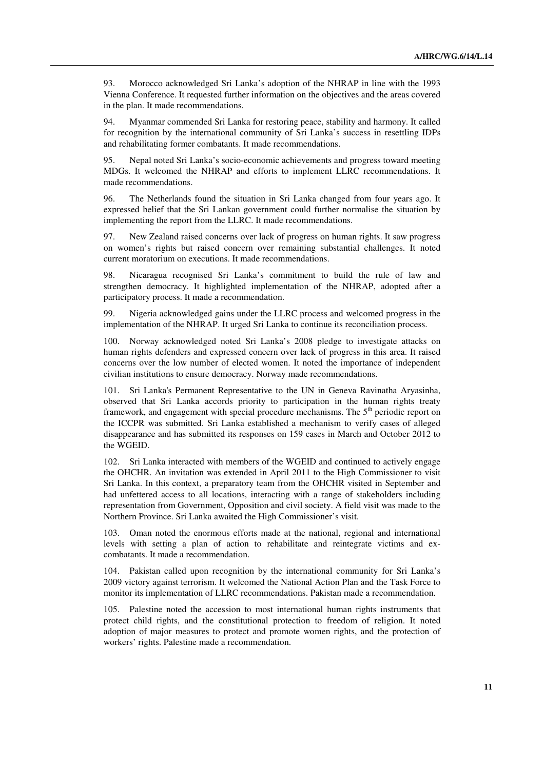93. Morocco acknowledged Sri Lanka's adoption of the NHRAP in line with the 1993 Vienna Conference. It requested further information on the objectives and the areas covered in the plan. It made recommendations.

94. Myanmar commended Sri Lanka for restoring peace, stability and harmony. It called for recognition by the international community of Sri Lanka's success in resettling IDPs and rehabilitating former combatants. It made recommendations.

95. Nepal noted Sri Lanka's socio-economic achievements and progress toward meeting MDGs. It welcomed the NHRAP and efforts to implement LLRC recommendations. It made recommendations.

96. The Netherlands found the situation in Sri Lanka changed from four years ago. It expressed belief that the Sri Lankan government could further normalise the situation by implementing the report from the LLRC. It made recommendations.

97. New Zealand raised concerns over lack of progress on human rights. It saw progress on women's rights but raised concern over remaining substantial challenges. It noted current moratorium on executions. It made recommendations.

98. Nicaragua recognised Sri Lanka's commitment to build the rule of law and strengthen democracy. It highlighted implementation of the NHRAP, adopted after a participatory process. It made a recommendation.

99. Nigeria acknowledged gains under the LLRC process and welcomed progress in the implementation of the NHRAP. It urged Sri Lanka to continue its reconciliation process.

100. Norway acknowledged noted Sri Lanka's 2008 pledge to investigate attacks on human rights defenders and expressed concern over lack of progress in this area. It raised concerns over the low number of elected women. It noted the importance of independent civilian institutions to ensure democracy. Norway made recommendations.

101. Sri Lanka's Permanent Representative to the UN in Geneva Ravinatha Aryasinha, observed that Sri Lanka accords priority to participation in the human rights treaty framework, and engagement with special procedure mechanisms. The  $5<sup>th</sup>$  periodic report on the ICCPR was submitted. Sri Lanka established a mechanism to verify cases of alleged disappearance and has submitted its responses on 159 cases in March and October 2012 to the WGEID.

102. Sri Lanka interacted with members of the WGEID and continued to actively engage the OHCHR. An invitation was extended in April 2011 to the High Commissioner to visit Sri Lanka. In this context, a preparatory team from the OHCHR visited in September and had unfettered access to all locations, interacting with a range of stakeholders including representation from Government, Opposition and civil society. A field visit was made to the Northern Province. Sri Lanka awaited the High Commissioner's visit.

103. Oman noted the enormous efforts made at the national, regional and international levels with setting a plan of action to rehabilitate and reintegrate victims and excombatants. It made a recommendation.

104. Pakistan called upon recognition by the international community for Sri Lanka's 2009 victory against terrorism. It welcomed the National Action Plan and the Task Force to monitor its implementation of LLRC recommendations. Pakistan made a recommendation.

105. Palestine noted the accession to most international human rights instruments that protect child rights, and the constitutional protection to freedom of religion. It noted adoption of major measures to protect and promote women rights, and the protection of workers' rights. Palestine made a recommendation.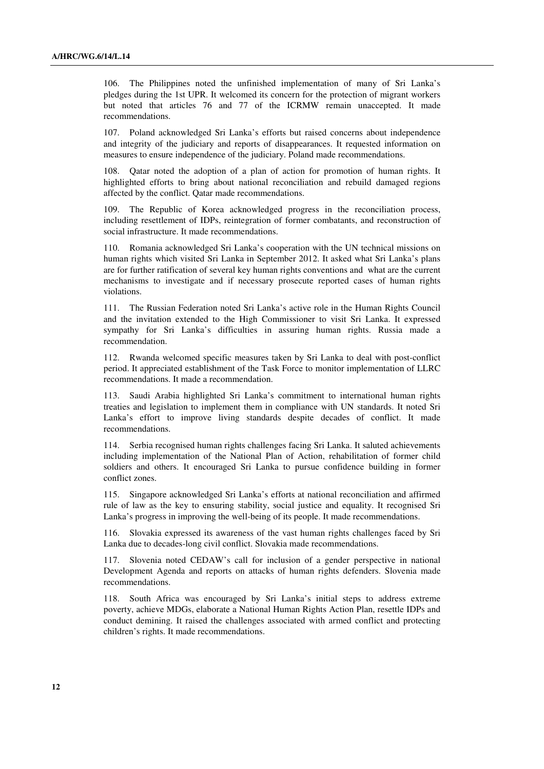106. The Philippines noted the unfinished implementation of many of Sri Lanka's pledges during the 1st UPR. It welcomed its concern for the protection of migrant workers but noted that articles 76 and 77 of the ICRMW remain unaccepted. It made recommendations.

107. Poland acknowledged Sri Lanka's efforts but raised concerns about independence and integrity of the judiciary and reports of disappearances. It requested information on measures to ensure independence of the judiciary. Poland made recommendations.

108. Qatar noted the adoption of a plan of action for promotion of human rights. It highlighted efforts to bring about national reconciliation and rebuild damaged regions affected by the conflict. Qatar made recommendations.

109. The Republic of Korea acknowledged progress in the reconciliation process, including resettlement of IDPs, reintegration of former combatants, and reconstruction of social infrastructure. It made recommendations.

110. Romania acknowledged Sri Lanka's cooperation with the UN technical missions on human rights which visited Sri Lanka in September 2012. It asked what Sri Lanka's plans are for further ratification of several key human rights conventions and what are the current mechanisms to investigate and if necessary prosecute reported cases of human rights violations.

111. The Russian Federation noted Sri Lanka's active role in the Human Rights Council and the invitation extended to the High Commissioner to visit Sri Lanka. It expressed sympathy for Sri Lanka's difficulties in assuring human rights. Russia made a recommendation.

112. Rwanda welcomed specific measures taken by Sri Lanka to deal with post-conflict period. It appreciated establishment of the Task Force to monitor implementation of LLRC recommendations. It made a recommendation.

113. Saudi Arabia highlighted Sri Lanka's commitment to international human rights treaties and legislation to implement them in compliance with UN standards. It noted Sri Lanka's effort to improve living standards despite decades of conflict. It made recommendations.

114. Serbia recognised human rights challenges facing Sri Lanka. It saluted achievements including implementation of the National Plan of Action, rehabilitation of former child soldiers and others. It encouraged Sri Lanka to pursue confidence building in former conflict zones.

115. Singapore acknowledged Sri Lanka's efforts at national reconciliation and affirmed rule of law as the key to ensuring stability, social justice and equality. It recognised Sri Lanka's progress in improving the well-being of its people. It made recommendations.

Slovakia expressed its awareness of the vast human rights challenges faced by Sri Lanka due to decades-long civil conflict. Slovakia made recommendations.

117. Slovenia noted CEDAW's call for inclusion of a gender perspective in national Development Agenda and reports on attacks of human rights defenders. Slovenia made recommendations.

118. South Africa was encouraged by Sri Lanka's initial steps to address extreme poverty, achieve MDGs, elaborate a National Human Rights Action Plan, resettle IDPs and conduct demining. It raised the challenges associated with armed conflict and protecting children's rights. It made recommendations.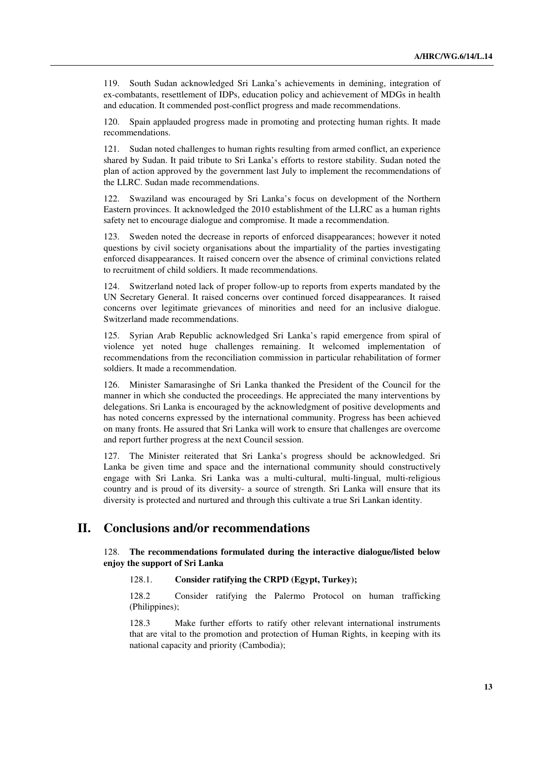119. South Sudan acknowledged Sri Lanka's achievements in demining, integration of ex-combatants, resettlement of IDPs, education policy and achievement of MDGs in health and education. It commended post-conflict progress and made recommendations.

120. Spain applauded progress made in promoting and protecting human rights. It made recommendations.

121. Sudan noted challenges to human rights resulting from armed conflict, an experience shared by Sudan. It paid tribute to Sri Lanka's efforts to restore stability. Sudan noted the plan of action approved by the government last July to implement the recommendations of the LLRC. Sudan made recommendations.

122. Swaziland was encouraged by Sri Lanka's focus on development of the Northern Eastern provinces. It acknowledged the 2010 establishment of the LLRC as a human rights safety net to encourage dialogue and compromise. It made a recommendation.

123. Sweden noted the decrease in reports of enforced disappearances; however it noted questions by civil society organisations about the impartiality of the parties investigating enforced disappearances. It raised concern over the absence of criminal convictions related to recruitment of child soldiers. It made recommendations.

124. Switzerland noted lack of proper follow-up to reports from experts mandated by the UN Secretary General. It raised concerns over continued forced disappearances. It raised concerns over legitimate grievances of minorities and need for an inclusive dialogue. Switzerland made recommendations.

125. Syrian Arab Republic acknowledged Sri Lanka's rapid emergence from spiral of violence yet noted huge challenges remaining. It welcomed implementation of recommendations from the reconciliation commission in particular rehabilitation of former soldiers. It made a recommendation.

126. Minister Samarasinghe of Sri Lanka thanked the President of the Council for the manner in which she conducted the proceedings. He appreciated the many interventions by delegations. Sri Lanka is encouraged by the acknowledgment of positive developments and has noted concerns expressed by the international community. Progress has been achieved on many fronts. He assured that Sri Lanka will work to ensure that challenges are overcome and report further progress at the next Council session.

127. The Minister reiterated that Sri Lanka's progress should be acknowledged. Sri Lanka be given time and space and the international community should constructively engage with Sri Lanka. Sri Lanka was a multi-cultural, multi-lingual, multi-religious country and is proud of its diversity- a source of strength. Sri Lanka will ensure that its diversity is protected and nurtured and through this cultivate a true Sri Lankan identity.

## **II. Conclusions and/or recommendations**

#### 128. **The recommendations formulated during the interactive dialogue/listed below enjoy the support of Sri Lanka**

#### 128.1. **Consider ratifying the CRPD (Egypt, Turkey);**

 128.2 Consider ratifying the Palermo Protocol on human trafficking (Philippines);

 128.3 Make further efforts to ratify other relevant international instruments that are vital to the promotion and protection of Human Rights, in keeping with its national capacity and priority (Cambodia);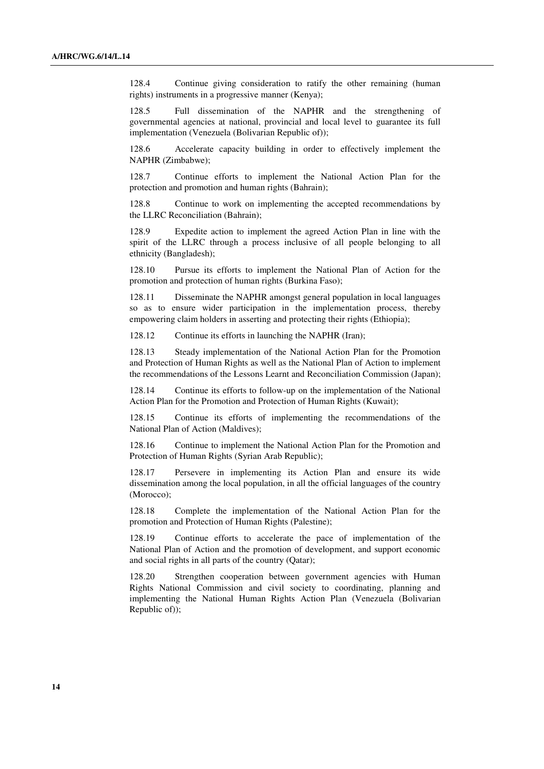128.4 Continue giving consideration to ratify the other remaining (human rights) instruments in a progressive manner (Kenya);

 128.5 Full dissemination of the NAPHR and the strengthening of governmental agencies at national, provincial and local level to guarantee its full implementation (Venezuela (Bolivarian Republic of));

 128.6 Accelerate capacity building in order to effectively implement the NAPHR (Zimbabwe);

 128.7 Continue efforts to implement the National Action Plan for the protection and promotion and human rights (Bahrain);

 128.8 Continue to work on implementing the accepted recommendations by the LLRC Reconciliation (Bahrain);

 128.9 Expedite action to implement the agreed Action Plan in line with the spirit of the LLRC through a process inclusive of all people belonging to all ethnicity (Bangladesh);

 128.10 Pursue its efforts to implement the National Plan of Action for the promotion and protection of human rights (Burkina Faso);

 128.11 Disseminate the NAPHR amongst general population in local languages so as to ensure wider participation in the implementation process, thereby empowering claim holders in asserting and protecting their rights (Ethiopia);

128.12 Continue its efforts in launching the NAPHR (Iran);

 128.13 Steady implementation of the National Action Plan for the Promotion and Protection of Human Rights as well as the National Plan of Action to implement the recommendations of the Lessons Learnt and Reconciliation Commission (Japan);

 128.14 Continue its efforts to follow-up on the implementation of the National Action Plan for the Promotion and Protection of Human Rights (Kuwait);

 128.15 Continue its efforts of implementing the recommendations of the National Plan of Action (Maldives);

 128.16 Continue to implement the National Action Plan for the Promotion and Protection of Human Rights (Syrian Arab Republic);

 128.17 Persevere in implementing its Action Plan and ensure its wide dissemination among the local population, in all the official languages of the country (Morocco);

 128.18 Complete the implementation of the National Action Plan for the promotion and Protection of Human Rights (Palestine);

 128.19 Continue efforts to accelerate the pace of implementation of the National Plan of Action and the promotion of development, and support economic and social rights in all parts of the country (Qatar);

 128.20 Strengthen cooperation between government agencies with Human Rights National Commission and civil society to coordinating, planning and implementing the National Human Rights Action Plan (Venezuela (Bolivarian Republic of));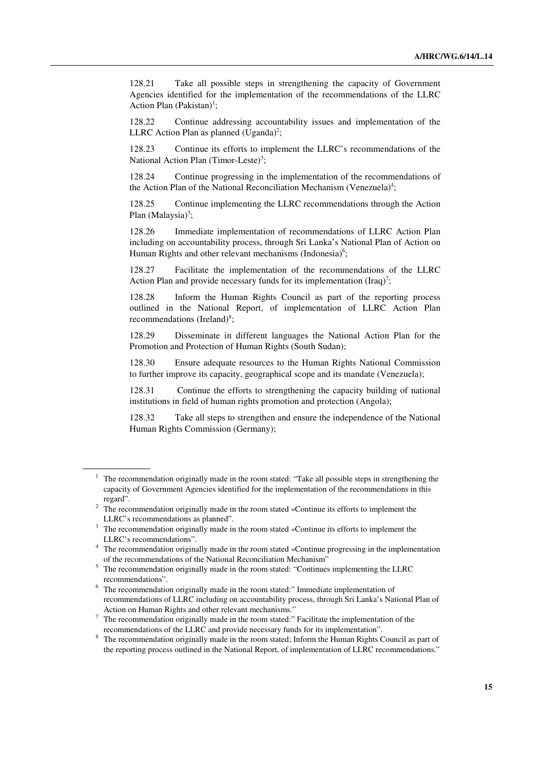128.21 Take all possible steps in strengthening the capacity of Government Agencies identified for the implementation of the recommendations of the LLRC Action Plan  $(Pakistan)^1$ ;

 128.22 Continue addressing accountability issues and implementation of the LLRC Action Plan as planned  $(Uganda)^2$ ;

 128.23 Continue its efforts to implement the LLRC's recommendations of the National Action Plan (Timor-Leste)<sup>3</sup>;

 128.24 Continue progressing in the implementation of the recommendations of the Action Plan of the National Reconciliation Mechanism (Venezuela)<sup>4</sup>;

 128.25 Continue implementing the LLRC recommendations through the Action Plan (Malaysia)<sup>5</sup>;

 128.26 Immediate implementation of recommendations of LLRC Action Plan including on accountability process, through Sri Lanka's National Plan of Action on Human Rights and other relevant mechanisms (Indonesia)<sup>6</sup>;

 128.27 Facilitate the implementation of the recommendations of the LLRC Action Plan and provide necessary funds for its implementation (Iraq)<sup>7</sup>;

 128.28 Inform the Human Rights Council as part of the reporting process outlined in the National Report, of implementation of LLRC Action Plan recommendations (Ireland)<sup>8</sup>;

 128.29 Disseminate in different languages the National Action Plan for the Promotion and Protection of Human Rights (South Sudan);

 128.30 Ensure adequate resources to the Human Rights National Commission to further improve its capacity, geographical scope and its mandate (Venezuela);

 128.31 Continue the efforts to strengthening the capacity building of national institutions in field of human rights promotion and protection (Angola);

 128.32 Take all steps to strengthen and ensure the independence of the National Human Rights Commission (Germany);

<sup>1</sup> The recommendation originally made in the room stated: "Take all possible steps in strengthening the capacity of Government Agencies identified for the implementation of the recommendations in this regard".

 $2<sup>2</sup>$  The recommendation originally made in the room stated «Continue its efforts to implement the LLRC's recommendations as planned".

<sup>3</sup> The recommendation originally made in the room stated «Continue its efforts to implement the LLRC's recommendations".

<sup>4</sup> The recommendation originally made in the room stated «Continue progressing in the implementation of the recommendations of the National Reconciliation Mechanism"

<sup>&</sup>lt;sup>5</sup> The recommendation originally made in the room stated: "Continues implementing the LLRC recommendations".

<sup>&</sup>lt;sup>6</sup> The recommendation originally made in the room stated:" Immediate implementation of recommendations of LLRC including on accountability process, through Sri Lanka's National Plan of Action on Human Rights and other relevant mechanisms."

 $7$  The recommendation originally made in the room stated:" Facilitate the implementation of the recommendations of the LLRC and provide necessary funds for its implementation".

<sup>&</sup>lt;sup>8</sup> The recommendation originally made in the room stated; Inform the Human Rights Council as part of the reporting process outlined in the National Report, of implementation of LLRC recommendations."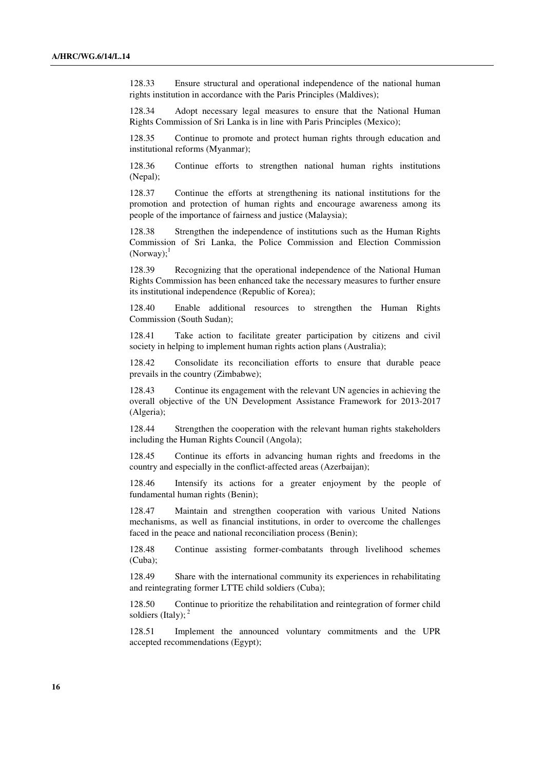128.33 Ensure structural and operational independence of the national human rights institution in accordance with the Paris Principles (Maldives);

 128.34 Adopt necessary legal measures to ensure that the National Human Rights Commission of Sri Lanka is in line with Paris Principles (Mexico);

 128.35 Continue to promote and protect human rights through education and institutional reforms (Myanmar);

 128.36 Continue efforts to strengthen national human rights institutions (Nepal);

 128.37 Continue the efforts at strengthening its national institutions for the promotion and protection of human rights and encourage awareness among its people of the importance of fairness and justice (Malaysia);

 128.38 Strengthen the independence of institutions such as the Human Rights Commission of Sri Lanka, the Police Commission and Election Commission  $(Norway)$ :

 128.39 Recognizing that the operational independence of the National Human Rights Commission has been enhanced take the necessary measures to further ensure its institutional independence (Republic of Korea);

 128.40 Enable additional resources to strengthen the Human Rights Commission (South Sudan);

 128.41 Take action to facilitate greater participation by citizens and civil society in helping to implement human rights action plans (Australia);

 128.42 Consolidate its reconciliation efforts to ensure that durable peace prevails in the country (Zimbabwe);

 128.43 Continue its engagement with the relevant UN agencies in achieving the overall objective of the UN Development Assistance Framework for 2013-2017 (Algeria);

 128.44 Strengthen the cooperation with the relevant human rights stakeholders including the Human Rights Council (Angola);

 128.45 Continue its efforts in advancing human rights and freedoms in the country and especially in the conflict-affected areas (Azerbaijan);

 128.46 Intensify its actions for a greater enjoyment by the people of fundamental human rights (Benin);

 128.47 Maintain and strengthen cooperation with various United Nations mechanisms, as well as financial institutions, in order to overcome the challenges faced in the peace and national reconciliation process (Benin);

 128.48 Continue assisting former-combatants through livelihood schemes (Cuba);

 128.49 Share with the international community its experiences in rehabilitating and reintegrating former LTTE child soldiers (Cuba);

 128.50 Continue to prioritize the rehabilitation and reintegration of former child soldiers (Italy);  $<sup>2</sup>$ </sup>

128.51 Implement the announced voluntary commitments and the UPR accepted recommendations (Egypt);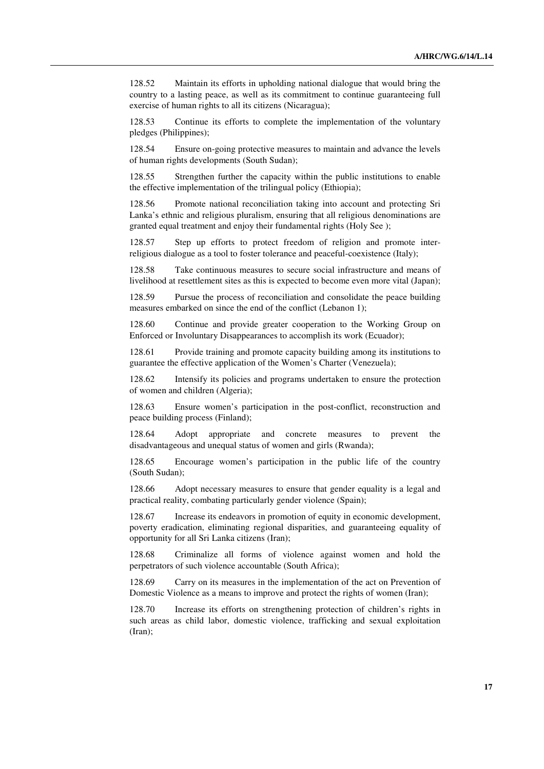128.52 Maintain its efforts in upholding national dialogue that would bring the country to a lasting peace, as well as its commitment to continue guaranteeing full exercise of human rights to all its citizens (Nicaragua);

 128.53 Continue its efforts to complete the implementation of the voluntary pledges (Philippines);

 128.54 Ensure on-going protective measures to maintain and advance the levels of human rights developments (South Sudan);

 128.55 Strengthen further the capacity within the public institutions to enable the effective implementation of the trilingual policy (Ethiopia);

 128.56 Promote national reconciliation taking into account and protecting Sri Lanka's ethnic and religious pluralism, ensuring that all religious denominations are granted equal treatment and enjoy their fundamental rights (Holy See );

 128.57 Step up efforts to protect freedom of religion and promote interreligious dialogue as a tool to foster tolerance and peaceful-coexistence (Italy);

 128.58 Take continuous measures to secure social infrastructure and means of livelihood at resettlement sites as this is expected to become even more vital (Japan);

 128.59 Pursue the process of reconciliation and consolidate the peace building measures embarked on since the end of the conflict (Lebanon 1);

 128.60 Continue and provide greater cooperation to the Working Group on Enforced or Involuntary Disappearances to accomplish its work (Ecuador);

 128.61 Provide training and promote capacity building among its institutions to guarantee the effective application of the Women's Charter (Venezuela);

 128.62 Intensify its policies and programs undertaken to ensure the protection of women and children (Algeria);

 128.63 Ensure women's participation in the post-conflict, reconstruction and peace building process (Finland);

 128.64 Adopt appropriate and concrete measures to prevent the disadvantageous and unequal status of women and girls (Rwanda);

 128.65 Encourage women's participation in the public life of the country (South Sudan);

 128.66 Adopt necessary measures to ensure that gender equality is a legal and practical reality, combating particularly gender violence (Spain);

 128.67 Increase its endeavors in promotion of equity in economic development, poverty eradication, eliminating regional disparities, and guaranteeing equality of opportunity for all Sri Lanka citizens (Iran);

 128.68 Criminalize all forms of violence against women and hold the perpetrators of such violence accountable (South Africa);

 128.69 Carry on its measures in the implementation of the act on Prevention of Domestic Violence as a means to improve and protect the rights of women (Iran);

 128.70 Increase its efforts on strengthening protection of children's rights in such areas as child labor, domestic violence, trafficking and sexual exploitation (Iran);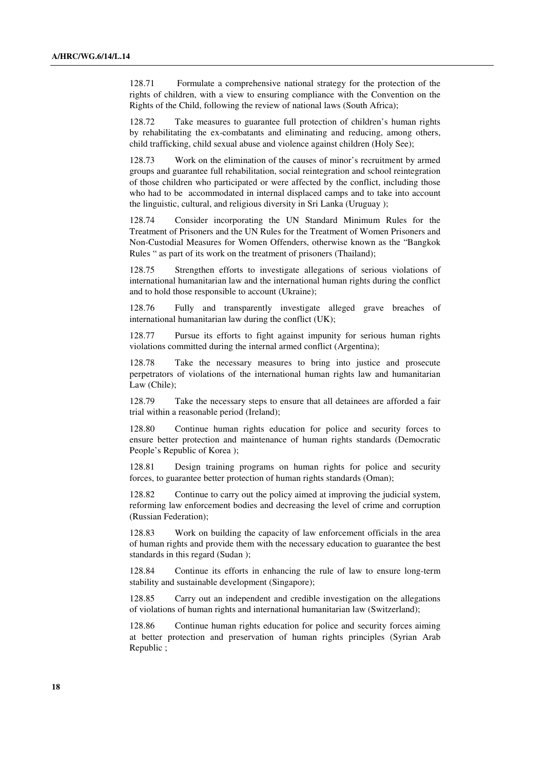128.71 Formulate a comprehensive national strategy for the protection of the rights of children, with a view to ensuring compliance with the Convention on the Rights of the Child, following the review of national laws (South Africa);

 128.72 Take measures to guarantee full protection of children's human rights by rehabilitating the ex-combatants and eliminating and reducing, among others, child trafficking, child sexual abuse and violence against children (Holy See);

 128.73 Work on the elimination of the causes of minor's recruitment by armed groups and guarantee full rehabilitation, social reintegration and school reintegration of those children who participated or were affected by the conflict, including those who had to be accommodated in internal displaced camps and to take into account the linguistic, cultural, and religious diversity in Sri Lanka (Uruguay );

 128.74 Consider incorporating the UN Standard Minimum Rules for the Treatment of Prisoners and the UN Rules for the Treatment of Women Prisoners and Non-Custodial Measures for Women Offenders, otherwise known as the "Bangkok Rules " as part of its work on the treatment of prisoners (Thailand);

 128.75 Strengthen efforts to investigate allegations of serious violations of international humanitarian law and the international human rights during the conflict and to hold those responsible to account (Ukraine);

 128.76 Fully and transparently investigate alleged grave breaches of international humanitarian law during the conflict (UK);

 128.77 Pursue its efforts to fight against impunity for serious human rights violations committed during the internal armed conflict (Argentina);

 128.78 Take the necessary measures to bring into justice and prosecute perpetrators of violations of the international human rights law and humanitarian Law (Chile);

 128.79 Take the necessary steps to ensure that all detainees are afforded a fair trial within a reasonable period (Ireland);

 128.80 Continue human rights education for police and security forces to ensure better protection and maintenance of human rights standards (Democratic People's Republic of Korea );

 128.81 Design training programs on human rights for police and security forces, to guarantee better protection of human rights standards (Oman);

 128.82 Continue to carry out the policy aimed at improving the judicial system, reforming law enforcement bodies and decreasing the level of crime and corruption (Russian Federation);

 128.83 Work on building the capacity of law enforcement officials in the area of human rights and provide them with the necessary education to guarantee the best standards in this regard (Sudan );

 128.84 Continue its efforts in enhancing the rule of law to ensure long-term stability and sustainable development (Singapore);

 128.85 Carry out an independent and credible investigation on the allegations of violations of human rights and international humanitarian law (Switzerland);

 128.86 Continue human rights education for police and security forces aiming at better protection and preservation of human rights principles (Syrian Arab Republic ;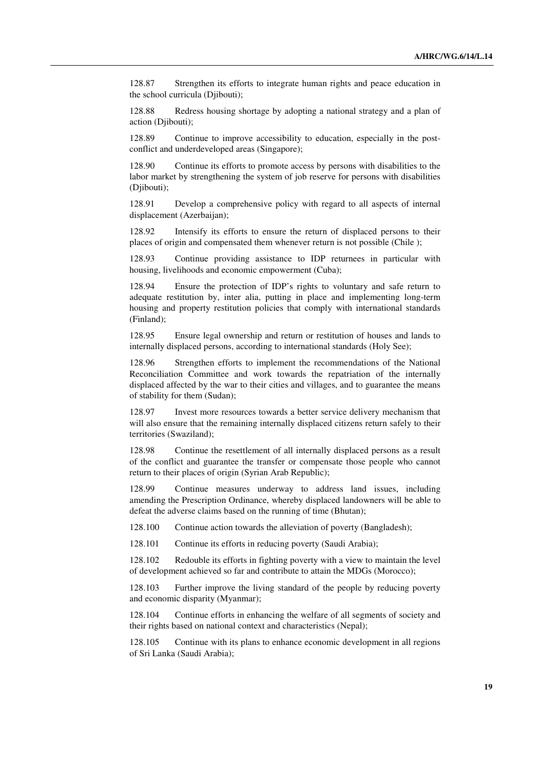128.87 Strengthen its efforts to integrate human rights and peace education in the school curricula (Djibouti);

 128.88 Redress housing shortage by adopting a national strategy and a plan of action (Djibouti);

 128.89 Continue to improve accessibility to education, especially in the postconflict and underdeveloped areas (Singapore);

 128.90 Continue its efforts to promote access by persons with disabilities to the labor market by strengthening the system of job reserve for persons with disabilities (Diibouti):

 128.91 Develop a comprehensive policy with regard to all aspects of internal displacement (Azerbaijan);

 128.92 Intensify its efforts to ensure the return of displaced persons to their places of origin and compensated them whenever return is not possible (Chile );

 128.93 Continue providing assistance to IDP returnees in particular with housing, livelihoods and economic empowerment (Cuba);

 128.94 Ensure the protection of IDP's rights to voluntary and safe return to adequate restitution by, inter alia, putting in place and implementing long-term housing and property restitution policies that comply with international standards (Finland);

 128.95 Ensure legal ownership and return or restitution of houses and lands to internally displaced persons, according to international standards (Holy See);

 128.96 Strengthen efforts to implement the recommendations of the National Reconciliation Committee and work towards the repatriation of the internally displaced affected by the war to their cities and villages, and to guarantee the means of stability for them (Sudan);

 128.97 Invest more resources towards a better service delivery mechanism that will also ensure that the remaining internally displaced citizens return safely to their territories (Swaziland);

 128.98 Continue the resettlement of all internally displaced persons as a result of the conflict and guarantee the transfer or compensate those people who cannot return to their places of origin (Syrian Arab Republic);

 128.99 Continue measures underway to address land issues, including amending the Prescription Ordinance, whereby displaced landowners will be able to defeat the adverse claims based on the running of time (Bhutan);

128.100 Continue action towards the alleviation of poverty (Bangladesh);

128.101 Continue its efforts in reducing poverty (Saudi Arabia);

 128.102 Redouble its efforts in fighting poverty with a view to maintain the level of development achieved so far and contribute to attain the MDGs (Morocco);

 128.103 Further improve the living standard of the people by reducing poverty and economic disparity (Myanmar);

 128.104 Continue efforts in enhancing the welfare of all segments of society and their rights based on national context and characteristics (Nepal);

 128.105 Continue with its plans to enhance economic development in all regions of Sri Lanka (Saudi Arabia);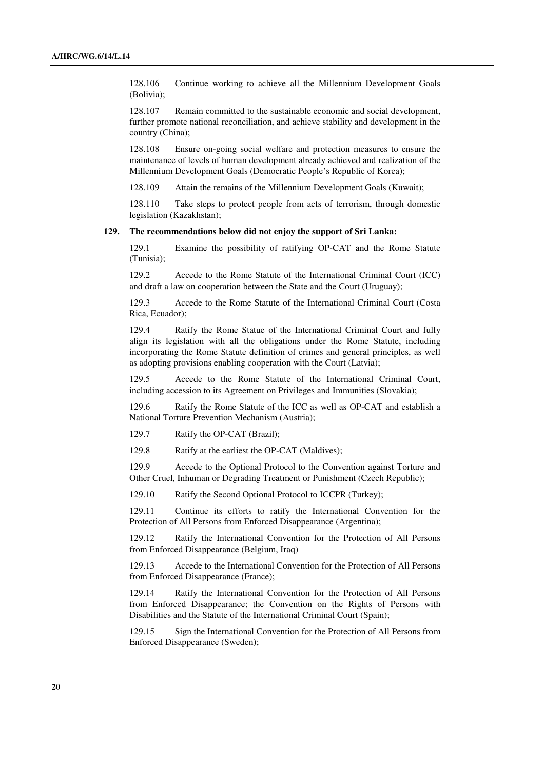128.106 Continue working to achieve all the Millennium Development Goals (Bolivia);

 128.107 Remain committed to the sustainable economic and social development, further promote national reconciliation, and achieve stability and development in the country (China);

 128.108 Ensure on-going social welfare and protection measures to ensure the maintenance of levels of human development already achieved and realization of the Millennium Development Goals (Democratic People's Republic of Korea);

128.109 Attain the remains of the Millennium Development Goals (Kuwait);

 128.110 Take steps to protect people from acts of terrorism, through domestic legislation (Kazakhstan);

#### **129. The recommendations below did not enjoy the support of Sri Lanka:**

 129.1 Examine the possibility of ratifying OP-CAT and the Rome Statute (Tunisia);

 129.2 Accede to the Rome Statute of the International Criminal Court (ICC) and draft a law on cooperation between the State and the Court (Uruguay);

 129.3 Accede to the Rome Statute of the International Criminal Court (Costa Rica, Ecuador);

 129.4 Ratify the Rome Statue of the International Criminal Court and fully align its legislation with all the obligations under the Rome Statute, including incorporating the Rome Statute definition of crimes and general principles, as well as adopting provisions enabling cooperation with the Court (Latvia);

 129.5 Accede to the Rome Statute of the International Criminal Court, including accession to its Agreement on Privileges and Immunities (Slovakia);

 129.6 Ratify the Rome Statute of the ICC as well as OP-CAT and establish a National Torture Prevention Mechanism (Austria);

129.7 Ratify the OP-CAT (Brazil);

129.8 Ratify at the earliest the OP-CAT (Maldives);

 129.9 Accede to the Optional Protocol to the Convention against Torture and Other Cruel, Inhuman or Degrading Treatment or Punishment (Czech Republic);

129.10 Ratify the Second Optional Protocol to ICCPR (Turkey);

 129.11 Continue its efforts to ratify the International Convention for the Protection of All Persons from Enforced Disappearance (Argentina);

 129.12 Ratify the International Convention for the Protection of All Persons from Enforced Disappearance (Belgium, Iraq)

 129.13 Accede to the International Convention for the Protection of All Persons from Enforced Disappearance (France);

 129.14 Ratify the International Convention for the Protection of All Persons from Enforced Disappearance; the Convention on the Rights of Persons with Disabilities and the Statute of the International Criminal Court (Spain);

 129.15 Sign the International Convention for the Protection of All Persons from Enforced Disappearance (Sweden);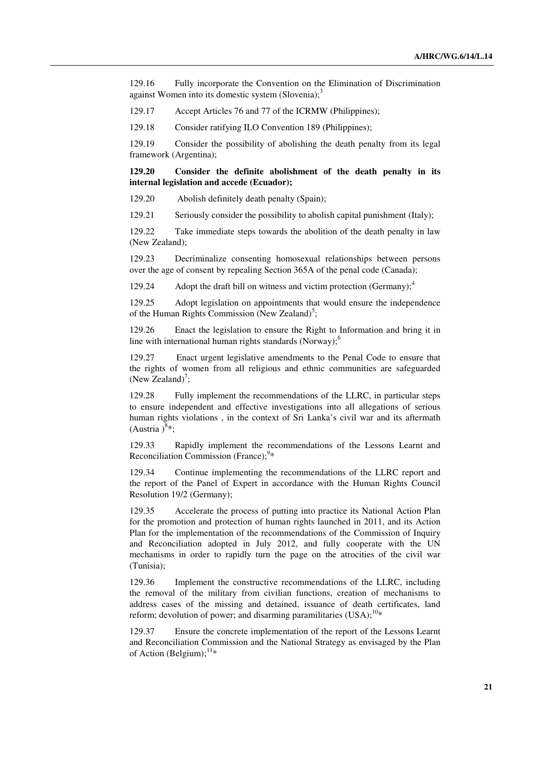129.16 Fully incorporate the Convention on the Elimination of Discrimination against Women into its domestic system  $(Slovenia);$ <sup>3</sup>

129.17 Accept Articles 76 and 77 of the ICRMW (Philippines);

129.18 Consider ratifying ILO Convention 189 (Philippines);

 129.19 Consider the possibility of abolishing the death penalty from its legal framework (Argentina);

**129.20 Consider the definite abolishment of the death penalty in its internal legislation and accede (Ecuador);** 

129.20 Abolish definitely death penalty (Spain);

129.21 Seriously consider the possibility to abolish capital punishment (Italy);

129.22 Take immediate steps towards the abolition of the death penalty in law (New Zealand);

129.23 Decriminalize consenting homosexual relationships between persons over the age of consent by repealing Section 365A of the penal code (Canada);

129.24 Adopt the draft bill on witness and victim protection (Germany): $\frac{4}{3}$ 

129.25 Adopt legislation on appointments that would ensure the independence of the Human Rights Commission (New Zealand)<sup>5</sup>;

129.26 Enact the legislation to ensure the Right to Information and bring it in line with international human rights standards (Norway); $<sup>6</sup>$ </sup>

129.27 Enact urgent legislative amendments to the Penal Code to ensure that the rights of women from all religious and ethnic communities are safeguarded (New Zealand)<sup>7</sup>;

129.28 Fully implement the recommendations of the LLRC, in particular steps to ensure independent and effective investigations into all allegations of serious human rights violations , in the context of Sri Lanka's civil war and its aftermath  $(Austria)^{8*}$ ;

129.33 Rapidly implement the recommendations of the Lessons Learnt and Reconciliation Commission (France);<sup>9</sup>\*

129.34 Continue implementing the recommendations of the LLRC report and the report of the Panel of Expert in accordance with the Human Rights Council Resolution 19/2 (Germany);

129.35 Accelerate the process of putting into practice its National Action Plan for the promotion and protection of human rights launched in 2011, and its Action Plan for the implementation of the recommendations of the Commission of Inquiry and Reconciliation adopted in July 2012, and fully cooperate with the UN mechanisms in order to rapidly turn the page on the atrocities of the civil war (Tunisia);

129.36 Implement the constructive recommendations of the LLRC, including the removal of the military from civilian functions, creation of mechanisms to address cases of the missing and detained, issuance of death certificates, land reform; devolution of power; and disarming paramilitaries  $(USA)^{10*}$ 

129.37 Ensure the concrete implementation of the report of the Lessons Learnt and Reconciliation Commission and the National Strategy as envisaged by the Plan of Action (Belgium); $^{11*}$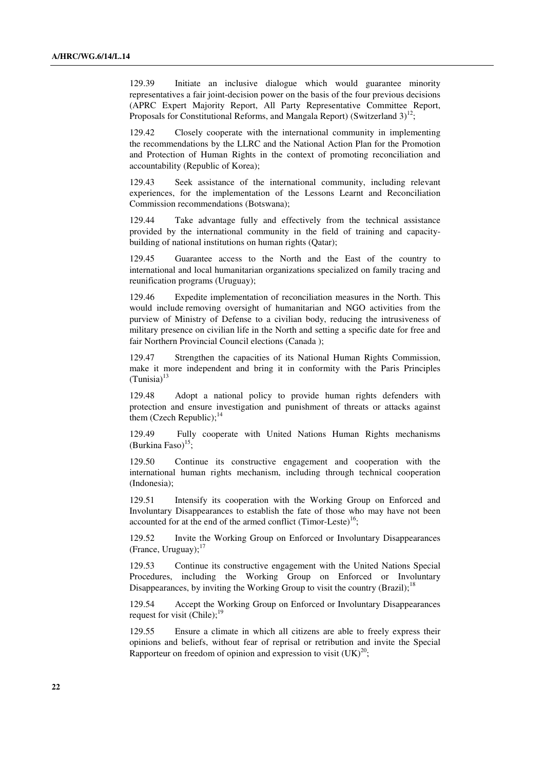129.39 Initiate an inclusive dialogue which would guarantee minority representatives a fair joint-decision power on the basis of the four previous decisions (APRC Expert Majority Report, All Party Representative Committee Report, Proposals for Constitutional Reforms, and Mangala Report) (Switzerland  $3^{12}$ ;

129.42 Closely cooperate with the international community in implementing the recommendations by the LLRC and the National Action Plan for the Promotion and Protection of Human Rights in the context of promoting reconciliation and accountability (Republic of Korea);

129.43 Seek assistance of the international community, including relevant experiences, for the implementation of the Lessons Learnt and Reconciliation Commission recommendations (Botswana);

129.44 Take advantage fully and effectively from the technical assistance provided by the international community in the field of training and capacitybuilding of national institutions on human rights (Qatar);

129.45 Guarantee access to the North and the East of the country to international and local humanitarian organizations specialized on family tracing and reunification programs (Uruguay);

129.46 Expedite implementation of reconciliation measures in the North. This would include removing oversight of humanitarian and NGO activities from the purview of Ministry of Defense to a civilian body, reducing the intrusiveness of military presence on civilian life in the North and setting a specific date for free and fair Northern Provincial Council elections (Canada );

129.47 Strengthen the capacities of its National Human Rights Commission, make it more independent and bring it in conformity with the Paris Principles  $(Tunisia)^{13}$ 

129.48 Adopt a national policy to provide human rights defenders with protection and ensure investigation and punishment of threats or attacks against them (Czech Republic); $^{14}$ 

129.49 Fully cooperate with United Nations Human Rights mechanisms (Burkina Faso) $15$ ;

129.50 Continue its constructive engagement and cooperation with the international human rights mechanism, including through technical cooperation (Indonesia);

129.51 Intensify its cooperation with the Working Group on Enforced and Involuntary Disappearances to establish the fate of those who may have not been accounted for at the end of the armed conflict (Timor-Leste)<sup>16</sup>;

129.52 Invite the Working Group on Enforced or Involuntary Disappearances (France, Uruguay): $17$ 

129.53 Continue its constructive engagement with the United Nations Special Procedures, including the Working Group on Enforced or Involuntary Disappearances, by inviting the Working Group to visit the country (Brazil);<sup>18</sup>

129.54 Accept the Working Group on Enforced or Involuntary Disappearances request for visit (Chile);<sup>19</sup>

129.55 Ensure a climate in which all citizens are able to freely express their opinions and beliefs, without fear of reprisal or retribution and invite the Special Rapporteur on freedom of opinion and expression to visit  $(UK)^{20}$ ;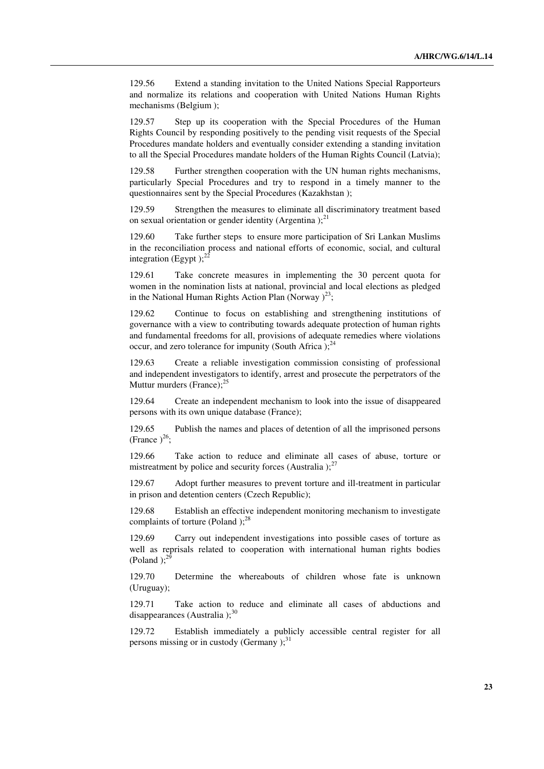129.56 Extend a standing invitation to the United Nations Special Rapporteurs and normalize its relations and cooperation with United Nations Human Rights mechanisms (Belgium );

129.57 Step up its cooperation with the Special Procedures of the Human Rights Council by responding positively to the pending visit requests of the Special Procedures mandate holders and eventually consider extending a standing invitation to all the Special Procedures mandate holders of the Human Rights Council (Latvia);

129.58 Further strengthen cooperation with the UN human rights mechanisms, particularly Special Procedures and try to respond in a timely manner to the questionnaires sent by the Special Procedures (Kazakhstan );

129.59 Strengthen the measures to eliminate all discriminatory treatment based on sexual orientation or gender identity (Argentina); $^{21}$ 

129.60 Take further steps to ensure more participation of Sri Lankan Muslims in the reconciliation process and national efforts of economic, social, and cultural integration (Egypt); $^{22}$ 

129.61 Take concrete measures in implementing the 30 percent quota for women in the nomination lists at national, provincial and local elections as pledged in the National Human Rights Action Plan (Norway)<sup>23</sup>;

129.62 Continue to focus on establishing and strengthening institutions of governance with a view to contributing towards adequate protection of human rights and fundamental freedoms for all, provisions of adequate remedies where violations occur, and zero tolerance for impunity (South Africa); $^{24}$ 

129.63 Create a reliable investigation commission consisting of professional and independent investigators to identify, arrest and prosecute the perpetrators of the Muttur murders (France):<sup>25</sup>

129.64 Create an independent mechanism to look into the issue of disappeared persons with its own unique database (France);

129.65 Publish the names and places of detention of all the imprisoned persons (France  $)^{26}$ ;

129.66 Take action to reduce and eliminate all cases of abuse, torture or mistreatment by police and security forces (Australia): $^{27}$ 

129.67 Adopt further measures to prevent torture and ill-treatment in particular in prison and detention centers (Czech Republic);

129.68 Establish an effective independent monitoring mechanism to investigate complaints of torture (Poland); $^{28}$ 

129.69 Carry out independent investigations into possible cases of torture as well as reprisals related to cooperation with international human rights bodies (Poland); $^{29}$ 

129.70 Determine the whereabouts of children whose fate is unknown (Uruguay);

129.71 Take action to reduce and eliminate all cases of abductions and disappearances (Australia): $30$ 

129.72 Establish immediately a publicly accessible central register for all persons missing or in custody (Germany  $;$ <sup>31</sup>)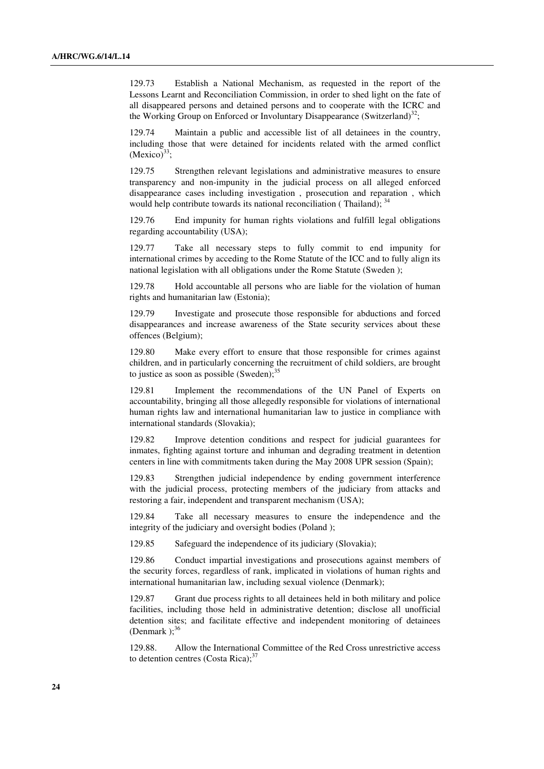129.73 Establish a National Mechanism, as requested in the report of the Lessons Learnt and Reconciliation Commission, in order to shed light on the fate of all disappeared persons and detained persons and to cooperate with the ICRC and the Working Group on Enforced or Involuntary Disappearance (Switzerland)<sup>32</sup>;

129.74 Maintain a public and accessible list of all detainees in the country, including those that were detained for incidents related with the armed conflict  $(Mexico)^{33}$ :

129.75 Strengthen relevant legislations and administrative measures to ensure transparency and non-impunity in the judicial process on all alleged enforced disappearance cases including investigation , prosecution and reparation , which would help contribute towards its national reconciliation (Thailand); <sup>34</sup>

129.76 End impunity for human rights violations and fulfill legal obligations regarding accountability (USA);

129.77 Take all necessary steps to fully commit to end impunity for international crimes by acceding to the Rome Statute of the ICC and to fully align its national legislation with all obligations under the Rome Statute (Sweden );

129.78 Hold accountable all persons who are liable for the violation of human rights and humanitarian law (Estonia);

129.79 Investigate and prosecute those responsible for abductions and forced disappearances and increase awareness of the State security services about these offences (Belgium);

129.80 Make every effort to ensure that those responsible for crimes against children, and in particularly concerning the recruitment of child soldiers, are brought to justice as soon as possible  $(Sweden)$ ;<sup>35</sup>

129.81 Implement the recommendations of the UN Panel of Experts on accountability, bringing all those allegedly responsible for violations of international human rights law and international humanitarian law to justice in compliance with international standards (Slovakia);

129.82 Improve detention conditions and respect for judicial guarantees for inmates, fighting against torture and inhuman and degrading treatment in detention centers in line with commitments taken during the May 2008 UPR session (Spain);

129.83 Strengthen judicial independence by ending government interference with the judicial process, protecting members of the judiciary from attacks and restoring a fair, independent and transparent mechanism (USA);

129.84 Take all necessary measures to ensure the independence and the integrity of the judiciary and oversight bodies (Poland );

129.85 Safeguard the independence of its judiciary (Slovakia);

129.86 Conduct impartial investigations and prosecutions against members of the security forces, regardless of rank, implicated in violations of human rights and international humanitarian law, including sexual violence (Denmark);

129.87 Grant due process rights to all detainees held in both military and police facilities, including those held in administrative detention; disclose all unofficial detention sites; and facilitate effective and independent monitoring of detainees (Denmark); $3$ 

129.88. Allow the International Committee of the Red Cross unrestrictive access to detention centres (Costa Rica); $37$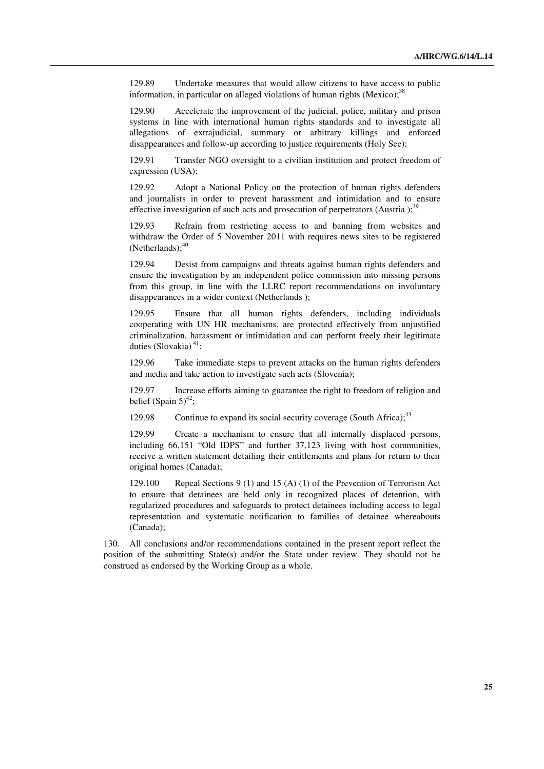129.89 Undertake measures that would allow citizens to have access to public information, in particular on alleged violations of human rights (Mexico); $38$ 

129.90 Accelerate the improvement of the judicial, police, military and prison systems in line with international human rights standards and to investigate all allegations of extrajudicial, summary or arbitrary killings and enforced disappearances and follow-up according to justice requirements (Holy See);

129.91 Transfer NGO oversight to a civilian institution and protect freedom of expression (USA);

129.92 Adopt a National Policy on the protection of human rights defenders and journalists in order to prevent harassment and intimidation and to ensure effective investigation of such acts and prosecution of perpetrators (Austria); $39$ 

129.93 Refrain from restricting access to and banning from websites and withdraw the Order of 5 November 2011 with requires news sites to be registered  $(Netherlands);$ <sup>40</sup>

129.94 Desist from campaigns and threats against human rights defenders and ensure the investigation by an independent police commission into missing persons from this group, in line with the LLRC report recommendations on involuntary disappearances in a wider context (Netherlands );

129.95 Ensure that all human rights defenders, including individuals cooperating with UN HR mechanisms, are protected effectively from unjustified criminalization, harassment or intimidation and can perform freely their legitimate duties (Slovakia) $41$ ;

129.96 Take immediate steps to prevent attacks on the human rights defenders and media and take action to investigate such acts (Slovenia);

129.97 Increase efforts aiming to guarantee the right to freedom of religion and belief (Spain  $5)^{42}$ ;

129.98 Continue to expand its social security coverage (South Africa): $43$ 

129.99 Create a mechanism to ensure that all internally displaced persons, including 66,151 "Old IDPS" and further 37,123 living with host communities, receive a written statement detailing their entitlements and plans for return to their original homes (Canada);

129.100 Repeal Sections 9 (1) and 15 (A) (1) of the Prevention of Terrorism Act to ensure that detainees are held only in recognized places of detention, with regularized procedures and safeguards to protect detainees including access to legal representation and systematic notification to families of detainee whereabouts (Canada);

130. All conclusions and/or recommendations contained in the present report reflect the position of the submitting State(s) and/or the State under review. They should not be construed as endorsed by the Working Group as a whole.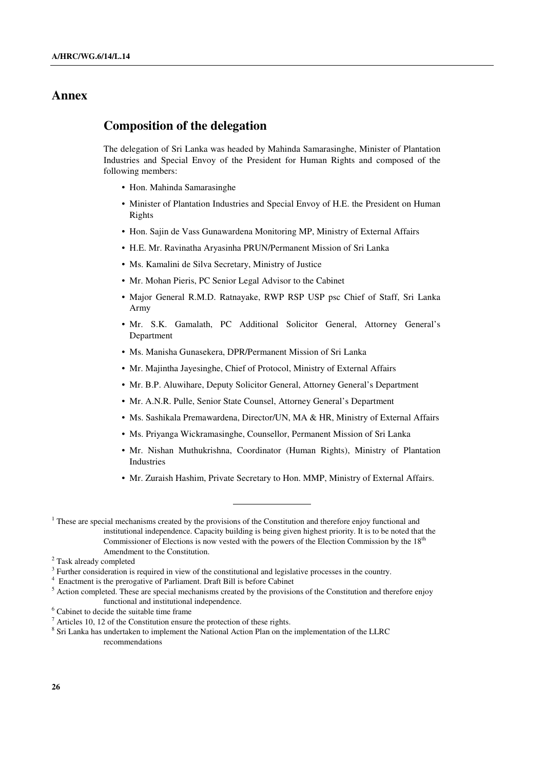## **Annex**

## **Composition of the delegation**

The delegation of Sri Lanka was headed by Mahinda Samarasinghe, Minister of Plantation Industries and Special Envoy of the President for Human Rights and composed of the following members:

- Hon. Mahinda Samarasinghe
- Minister of Plantation Industries and Special Envoy of H.E. the President on Human Rights
- Hon. Sajin de Vass Gunawardena Monitoring MP, Ministry of External Affairs
- H.E. Mr. Ravinatha Aryasinha PRUN/Permanent Mission of Sri Lanka
- Ms. Kamalini de Silva Secretary, Ministry of Justice
- Mr. Mohan Pieris, PC Senior Legal Advisor to the Cabinet
- Major General R.M.D. Ratnayake, RWP RSP USP psc Chief of Staff, Sri Lanka Army
- Mr. S.K. Gamalath, PC Additional Solicitor General, Attorney General's Department
- Ms. Manisha Gunasekera, DPR/Permanent Mission of Sri Lanka
- Mr. Majintha Jayesinghe, Chief of Protocol, Ministry of External Affairs
- Mr. B.P. Aluwihare, Deputy Solicitor General, Attorney General's Department
- Mr. A.N.R. Pulle, Senior State Counsel, Attorney General's Department
- Ms. Sashikala Premawardena, Director/UN, MA & HR, Ministry of External Affairs
- Ms. Priyanga Wickramasinghe, Counsellor, Permanent Mission of Sri Lanka
- Mr. Nishan Muthukrishna, Coordinator (Human Rights), Ministry of Plantation Industries
- Mr. Zuraish Hashim, Private Secretary to Hon. MMP, Ministry of External Affairs.

 $\overline{a}$ 

- <sup>5</sup> Action completed. These are special mechanisms created by the provisions of the Constitution and therefore enjoy functional and institutional independence.
- <sup>6</sup> Cabinet to decide the suitable time frame

 $1$ <sup>1</sup> These are special mechanisms created by the provisions of the Constitution and therefore enjoy functional and institutional independence. Capacity building is being given highest priority. It is to be noted that the Commissioner of Elections is now vested with the powers of the Election Commission by the 18<sup>th</sup> Amendment to the Constitution.

<sup>&</sup>lt;sup>2</sup> Task already completed

 $3$  Further consideration is required in view of the constitutional and legislative processes in the country.

<sup>&</sup>lt;sup>4</sup> Enactment is the prerogative of Parliament. Draft Bill is before Cabinet

 $<sup>7</sup>$  Articles 10, 12 of the Constitution ensure the protection of these rights.</sup>

<sup>&</sup>lt;sup>8</sup> Sri Lanka has undertaken to implement the National Action Plan on the implementation of the LLRC recommendations